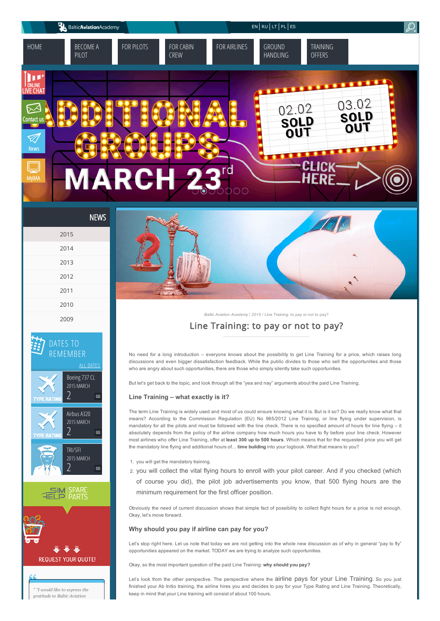







" "I would like to express the gratitude to Baltic Aviation



*Baltic Aviation [Academy](http://www.balticaa.com/)* / *[2015](http://www.balticaa.com/category/news/2015/)* / Line Training: to pay or not to pay?

## [Line Training: to pay or not to pay?](http://www.balticaa.com/get-private-pilot-license/)

No need for a long introduction – everyone knows about the possibility to get Line Training for a price, which raises long discussions and even bigger dissatisfaction feedback. While the public divides to those who sell the opportunities and those who are angry about such opportunities, there are those who simply silently take such opportunities.

But let's get back to the topic, and look through all the "yea and nay" arguments about the paid Line Training.

### Line Training – what exactly is it?

The term Line Training is widely used and most of us could ensure knowing what it is. But is it so? Do we really know what that means? According to the Commission Regulation (EU) No 965/2012 Line Training, or line flying under supervision, is mandatory for all the pilots and must be followed with the line check. There is no specified amount of hours for line flying – it absolutely depends from the policy of the airline company how much hours you have to fly before your line check. However most airlines who offer Line Training, offer at least 300 up to 500 hours. Which means that for the requested price you will get the mandatory line flying and additional hours of... time building into your logbook. What that means to you?

- 1. you will get the mandatory training.
- 2. you will collect the vital flying hours to enroll with your pilot career. And if you checked (which

of course you did), the pilot job advertisements you know, that 500 flying hours are the minimum requirement for the first officer position.

Obviously the need of current discussion shows that simple fact of possibility to collect flight hours for a price is not enough. Okay, let's move forward.

### Why should you pay if airline can pay for you?

Let's stop right here. Let us note that today we are not getting into the whole new discussion as of why in general "pay to fly" opportunities appeared on the market. TODAY we are trying to analyze such opportunities.

Okay, so the most important question of the paid Line Training: why should you pay?

Let's look from the other perspective. The perspective where the airline pays for your Line Training. So you just finished your Ab Initio training, the airline hires you and decides to pay for your Type Rating and Line Training. Theoretically, keep in mind that your Line training will consist of about 100 hours.